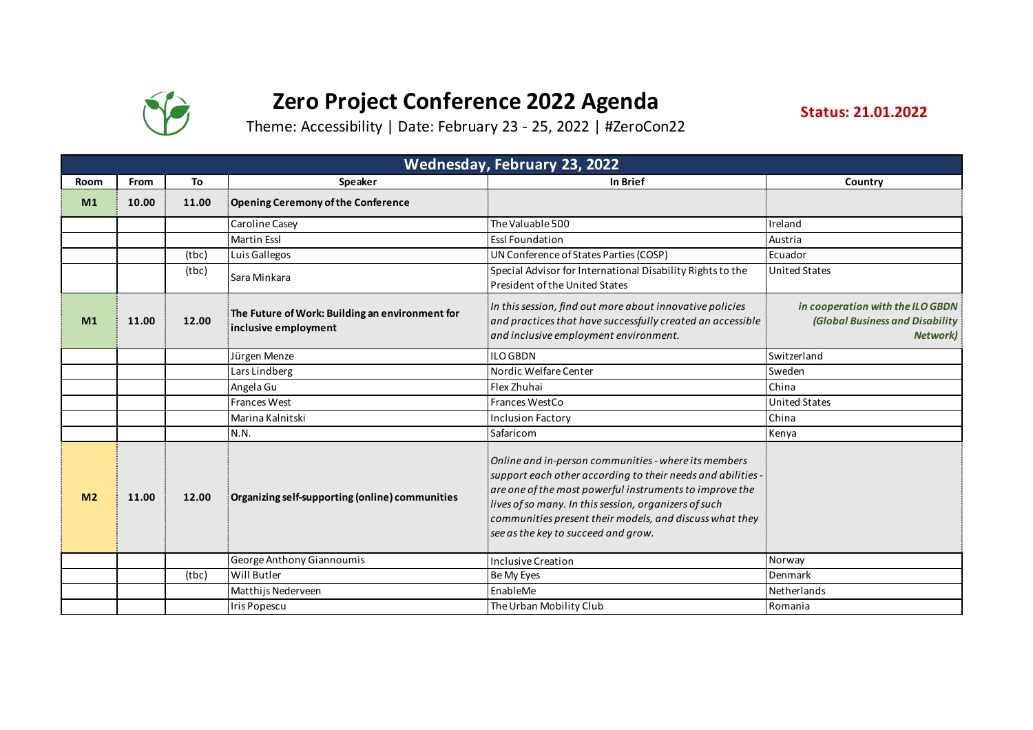

## **Zero Project Conference 2022 Agenda**

**Status: 21.01.2022**

Theme: Accessibility | Date: February 23 - 25, 2022 | #ZeroCon22

|                | Wednesday, February 23, 2022 |       |                                                                         |                                                                                                                                                                                                                                                                                                                                           |                                                                                               |  |  |
|----------------|------------------------------|-------|-------------------------------------------------------------------------|-------------------------------------------------------------------------------------------------------------------------------------------------------------------------------------------------------------------------------------------------------------------------------------------------------------------------------------------|-----------------------------------------------------------------------------------------------|--|--|
| Room           | From                         | To    | Speaker                                                                 | In Brief                                                                                                                                                                                                                                                                                                                                  | Country                                                                                       |  |  |
| M1             | 10.00                        | 11.00 | Opening Ceremony of the Conference                                      |                                                                                                                                                                                                                                                                                                                                           |                                                                                               |  |  |
|                |                              |       | Caroline Casey                                                          | The Valuable 500                                                                                                                                                                                                                                                                                                                          | Ireland                                                                                       |  |  |
|                |                              |       | <b>Martin Essl</b>                                                      | <b>Essl Foundation</b>                                                                                                                                                                                                                                                                                                                    | Austria                                                                                       |  |  |
|                |                              | (tbc) | Luis Gallegos                                                           | UN Conference of States Parties (COSP)                                                                                                                                                                                                                                                                                                    | Ecuador                                                                                       |  |  |
|                |                              | (tbc) | Sara Minkara                                                            | Special Advisor for International Disability Rights to the<br>President of the United States                                                                                                                                                                                                                                              | <b>United States</b>                                                                          |  |  |
| M1             | 11.00                        | 12.00 | The Future of Work: Building an environment for<br>inclusive employment | In this session, find out more about innovative policies<br>and practices that have successfully created an accessible<br>and inclusive employment environment.                                                                                                                                                                           | in cooperation with the ILO GBDN<br><b>(Global Business and Disability</b><br><b>Network)</b> |  |  |
|                |                              |       | Jürgen Menze                                                            | <b>ILO GBDN</b>                                                                                                                                                                                                                                                                                                                           | Switzerland                                                                                   |  |  |
|                |                              |       | Lars Lindberg                                                           | Nordic Welfare Center                                                                                                                                                                                                                                                                                                                     | Sweden                                                                                        |  |  |
|                |                              |       | Angela Gu                                                               | Flex Zhuhai                                                                                                                                                                                                                                                                                                                               | China                                                                                         |  |  |
|                |                              |       | <b>Frances West</b>                                                     | Frances WestCo                                                                                                                                                                                                                                                                                                                            | <b>United States</b>                                                                          |  |  |
|                |                              |       | Marina Kalnitski                                                        | <b>Inclusion Factory</b>                                                                                                                                                                                                                                                                                                                  | China                                                                                         |  |  |
|                |                              |       | N.N.                                                                    | Safaricom                                                                                                                                                                                                                                                                                                                                 | Kenya                                                                                         |  |  |
| M <sub>2</sub> | 11.00                        | 12.00 | Organizing self-supporting (online) communities                         | Online and in-person communities - where its members<br>support each other according to their needs and abilities -<br>are one of the most powerful instruments to improve the<br>lives of so many. In this session, organizers of such<br>communities present their models, and discuss what they<br>see as the key to succeed and grow. |                                                                                               |  |  |
|                |                              |       | George Anthony Giannoumis                                               | Inclusive Creation                                                                                                                                                                                                                                                                                                                        | Norway                                                                                        |  |  |
|                |                              | (tbc) | Will Butler                                                             | Be My Eyes                                                                                                                                                                                                                                                                                                                                | Denmark                                                                                       |  |  |
|                |                              |       | Matthijs Nederveen                                                      | EnableMe                                                                                                                                                                                                                                                                                                                                  | Netherlands                                                                                   |  |  |
|                |                              |       | Iris Popescu                                                            | The Urban Mobility Club                                                                                                                                                                                                                                                                                                                   | Romania                                                                                       |  |  |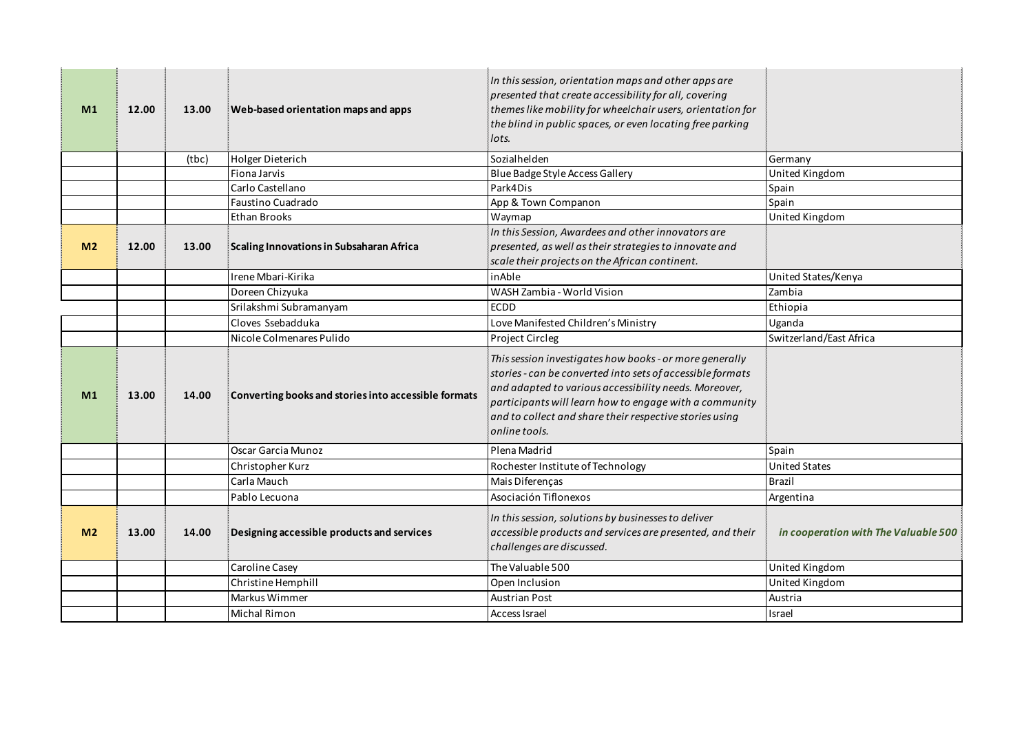| M1             | 12.00 | 13.00 | Web-based orientation maps and apps                  | In this session, orientation maps and other apps are<br>presented that create accessibility for all, covering<br>themes like mobility for wheelchair users, orientation for<br>the blind in public spaces, or even locating free parking<br>lots.                                                                    |                                      |
|----------------|-------|-------|------------------------------------------------------|----------------------------------------------------------------------------------------------------------------------------------------------------------------------------------------------------------------------------------------------------------------------------------------------------------------------|--------------------------------------|
|                |       | (tbc) | <b>Holger Dieterich</b>                              | Sozialhelden                                                                                                                                                                                                                                                                                                         | Germany                              |
|                |       |       | Fiona Jarvis                                         | Blue Badge Style Access Gallery                                                                                                                                                                                                                                                                                      | United Kingdom                       |
|                |       |       | Carlo Castellano                                     | Park4Dis                                                                                                                                                                                                                                                                                                             | Spain                                |
|                |       |       | Faustino Cuadrado                                    | App & Town Companon                                                                                                                                                                                                                                                                                                  | Spain                                |
|                |       |       | Ethan Brooks                                         | Waymap                                                                                                                                                                                                                                                                                                               | United Kingdom                       |
| M <sub>2</sub> | 12.00 | 13.00 | Scaling Innovations in Subsaharan Africa             | In this Session, Awardees and other innovators are<br>presented, as well as their strategies to innovate and<br>scale their projects on the African continent.                                                                                                                                                       |                                      |
|                |       |       | Irene Mbari-Kirika                                   | inAble                                                                                                                                                                                                                                                                                                               | United States/Kenya                  |
|                |       |       | Doreen Chizyuka                                      | WASH Zambia - World Vision                                                                                                                                                                                                                                                                                           | Zambia                               |
|                |       |       | Srilakshmi Subramanyam                               | <b>ECDD</b>                                                                                                                                                                                                                                                                                                          | Ethiopia                             |
|                |       |       | Cloves Ssebadduka                                    | Love Manifested Children's Ministry                                                                                                                                                                                                                                                                                  | Uganda                               |
|                |       |       | Nicole Colmenares Pulido                             | Project Circleg                                                                                                                                                                                                                                                                                                      | Switzerland/East Africa              |
| M <sub>1</sub> | 13.00 | 14.00 | Converting books and stories into accessible formats | This session investigates how books - or more generally<br>stories - can be converted into sets of accessible formats<br>and adapted to various accessibility needs. Moreover,<br>participants will learn how to engage with a community<br>and to collect and share their respective stories using<br>online tools. |                                      |
|                |       |       | Oscar Garcia Munoz                                   | Plena Madrid                                                                                                                                                                                                                                                                                                         | Spain                                |
|                |       |       | Christopher Kurz                                     | Rochester Institute of Technology                                                                                                                                                                                                                                                                                    | <b>United States</b>                 |
|                |       |       | Carla Mauch                                          | Mais Diferenças                                                                                                                                                                                                                                                                                                      | Brazil                               |
|                |       |       | Pablo Lecuona                                        | Asociación Tiflonexos                                                                                                                                                                                                                                                                                                | Argentina                            |
| M <sub>2</sub> | 13.00 | 14.00 | Designing accessible products and services           | In this session, solutions by businesses to deliver<br>accessible products and services are presented, and their<br>challenges are discussed.                                                                                                                                                                        | in cooperation with The Valuable 500 |
|                |       |       | Caroline Casey                                       | The Valuable 500                                                                                                                                                                                                                                                                                                     | United Kingdom                       |
|                |       |       | Christine Hemphill                                   | Open Inclusion                                                                                                                                                                                                                                                                                                       | United Kingdom                       |
|                |       |       | Markus Wimmer                                        | <b>Austrian Post</b>                                                                                                                                                                                                                                                                                                 | Austria                              |
|                |       |       | <b>Michal Rimon</b>                                  | Access Israel                                                                                                                                                                                                                                                                                                        | Israel                               |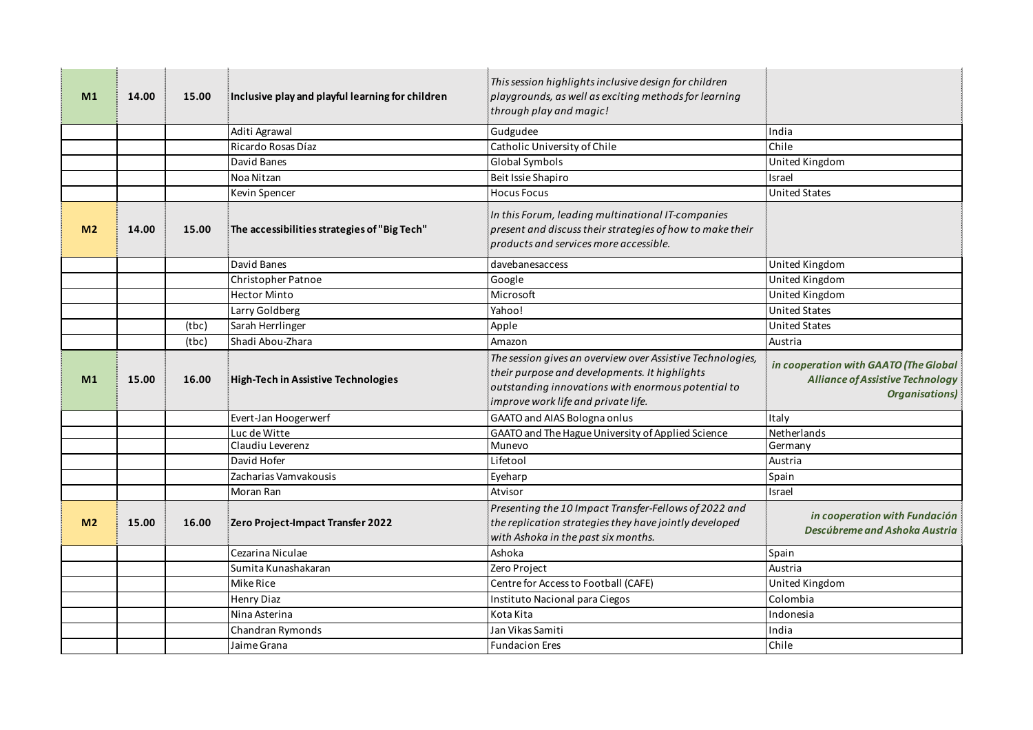| M <sub>1</sub> | 14.00 | 15.00 | Inclusive play and playful learning for children | This session highlights inclusive design for children<br>playgrounds, as well as exciting methods for learning<br>through play and magic!                                                                |                                                                                                           |
|----------------|-------|-------|--------------------------------------------------|----------------------------------------------------------------------------------------------------------------------------------------------------------------------------------------------------------|-----------------------------------------------------------------------------------------------------------|
|                |       |       | Aditi Agrawal                                    | Gudgudee                                                                                                                                                                                                 | India                                                                                                     |
|                |       |       | Ricardo Rosas Díaz                               | Catholic University of Chile                                                                                                                                                                             | Chile                                                                                                     |
|                |       |       | David Banes                                      | Global Symbols                                                                                                                                                                                           | United Kingdom                                                                                            |
|                |       |       | Noa Nitzan                                       | Beit Issie Shapiro                                                                                                                                                                                       | Israel                                                                                                    |
|                |       |       | Kevin Spencer                                    | <b>Hocus Focus</b>                                                                                                                                                                                       | <b>United States</b>                                                                                      |
| M <sub>2</sub> | 14.00 | 15.00 | The accessibilities strategies of "Big Tech"     | In this Forum, leading multinational IT-companies<br>present and discuss their strategies of how to make their<br>products and services more accessible.                                                 |                                                                                                           |
|                |       |       | David Banes                                      | davebanesaccess                                                                                                                                                                                          | United Kingdom                                                                                            |
|                |       |       | Christopher Patnoe                               | Google                                                                                                                                                                                                   | United Kingdom                                                                                            |
|                |       |       | <b>Hector Minto</b>                              | Microsoft                                                                                                                                                                                                | United Kingdom                                                                                            |
|                |       |       | Larry Goldberg                                   | Yahoo!                                                                                                                                                                                                   | <b>United States</b>                                                                                      |
|                |       | (tbc) | Sarah Herrlinger                                 | Apple                                                                                                                                                                                                    | <b>United States</b>                                                                                      |
|                |       | (tbc) | Shadi Abou-Zhara                                 | Amazon                                                                                                                                                                                                   | Austria                                                                                                   |
| M <sub>1</sub> | 15.00 | 16.00 | High-Tech in Assistive Technologies              | The session gives an overview over Assistive Technologies,<br>their purpose and developments. It highlights<br>outstanding innovations with enormous potential to<br>improve work life and private life. | in cooperation with GAATO (The Global<br><b>Alliance of Assistive Technology</b><br><b>Organisations)</b> |
|                |       |       | Evert-Jan Hoogerwerf                             | <b>GAATO and AIAS Bologna onlus</b>                                                                                                                                                                      | Italy                                                                                                     |
|                |       |       | Luc de Witte                                     | GAATO and The Hague University of Applied Science                                                                                                                                                        | Netherlands                                                                                               |
|                |       |       | Claudiu Leverenz                                 | Munevo                                                                                                                                                                                                   | Germany                                                                                                   |
|                |       |       | David Hofer                                      | Lifetool                                                                                                                                                                                                 | Austria                                                                                                   |
|                |       |       | Zacharias Vamvakousis                            | Eyeharp                                                                                                                                                                                                  | Spain                                                                                                     |
|                |       |       | Moran Ran                                        | Atvisor                                                                                                                                                                                                  | Israel                                                                                                    |
| M <sub>2</sub> | 15.00 | 16.00 | Zero Project-Impact Transfer 2022                | Presenting the 10 Impact Transfer-Fellows of 2022 and<br>the replication strategies they have jointly developed<br>with Ashoka in the past six months.                                                   | in cooperation with Fundación<br>Descúbreme and Ashoka Austria                                            |
|                |       |       | Cezarina Niculae                                 | Ashoka                                                                                                                                                                                                   | Spain                                                                                                     |
|                |       |       | Sumita Kunashakaran                              | Zero Project                                                                                                                                                                                             | Austria                                                                                                   |
|                |       |       | Mike Rice                                        | Centre for Access to Football (CAFE)                                                                                                                                                                     | United Kingdom                                                                                            |
|                |       |       | Henry Diaz                                       | Instituto Nacional para Ciegos                                                                                                                                                                           | Colombia                                                                                                  |
|                |       |       | Nina Asterina                                    | Kota Kita                                                                                                                                                                                                | Indonesia                                                                                                 |
|                |       |       | Chandran Rymonds                                 | Jan Vikas Samiti                                                                                                                                                                                         | India                                                                                                     |
|                |       |       | Jaime Grana                                      | <b>Fundacion Eres</b>                                                                                                                                                                                    | Chile                                                                                                     |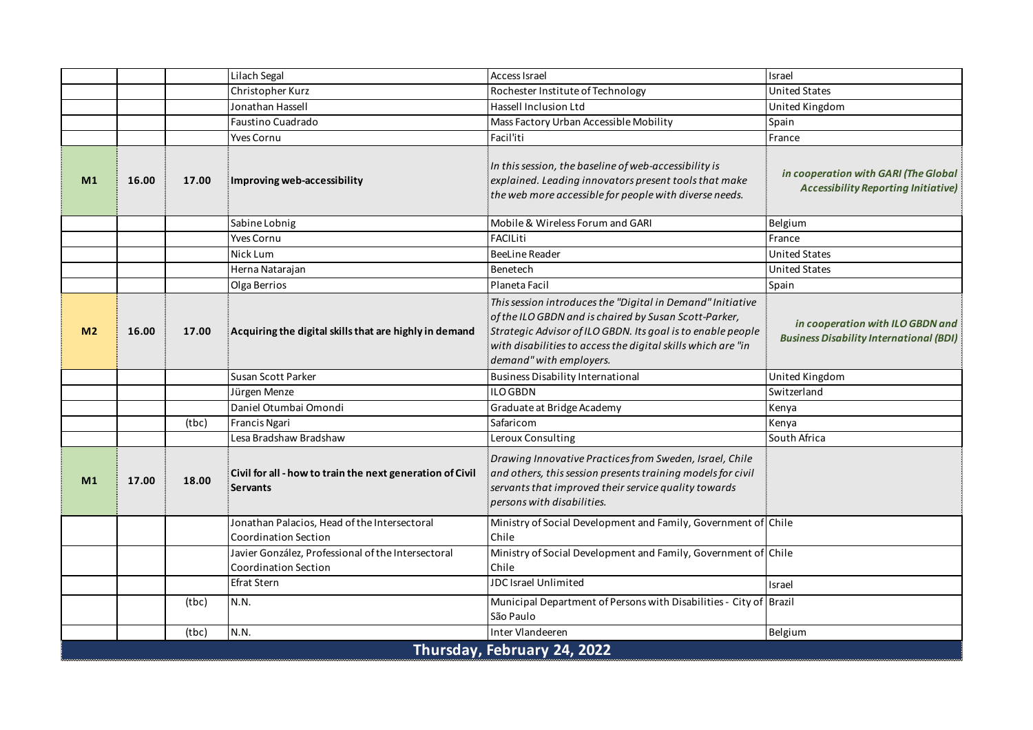|                |       |       | Lilach Segal                                                                 | Access Israel                                                                                                                                                                                                                                                                 | Israel                                                                             |
|----------------|-------|-------|------------------------------------------------------------------------------|-------------------------------------------------------------------------------------------------------------------------------------------------------------------------------------------------------------------------------------------------------------------------------|------------------------------------------------------------------------------------|
|                |       |       | Christopher Kurz                                                             | Rochester Institute of Technology                                                                                                                                                                                                                                             | United States                                                                      |
|                |       |       | Jonathan Hassell                                                             | Hassell Inclusion Ltd                                                                                                                                                                                                                                                         | United Kingdom                                                                     |
|                |       |       | Faustino Cuadrado                                                            | Mass Factory Urban Accessible Mobility                                                                                                                                                                                                                                        | Spain                                                                              |
|                |       |       | Yves Cornu                                                                   | Facil'iti                                                                                                                                                                                                                                                                     | France                                                                             |
| M <sub>1</sub> | 16.00 | 17.00 | Improving web-accessibility                                                  | In this session, the baseline of web-accessibility is<br>explained. Leading innovators present tools that make<br>the web more accessible for people with diverse needs.                                                                                                      | in cooperation with GARI (The Global<br><b>Accessibility Reporting Initiative)</b> |
|                |       |       | Sabine Lobnig                                                                | Mobile & Wireless Forum and GARI                                                                                                                                                                                                                                              | Belgium                                                                            |
|                |       |       | <b>Yves Cornu</b>                                                            | <b>FACILiti</b>                                                                                                                                                                                                                                                               | France                                                                             |
|                |       |       | Nick Lum                                                                     | <b>BeeLine Reader</b>                                                                                                                                                                                                                                                         | <b>United States</b>                                                               |
|                |       |       | Herna Natarajan                                                              | Benetech                                                                                                                                                                                                                                                                      | <b>United States</b>                                                               |
|                |       |       | Olga Berrios                                                                 | Planeta Facil                                                                                                                                                                                                                                                                 | Spain                                                                              |
| M <sub>2</sub> | 16.00 | 17.00 | Acquiring the digital skills that are highly in demand                       | This session introduces the "Digital in Demand" Initiative<br>of the ILO GBDN and is chaired by Susan Scott-Parker,<br>Strategic Advisor of ILO GBDN. Its goal is to enable people<br>with disabilities to access the digital skills which are "in<br>demand" with employers. | in cooperation with ILO GBDN and<br><b>Business Disability International (BDI)</b> |
|                |       |       | Susan Scott Parker                                                           | <b>Business Disability International</b>                                                                                                                                                                                                                                      | United Kingdom                                                                     |
|                |       |       | Jürgen Menze                                                                 | <b>ILO GBDN</b>                                                                                                                                                                                                                                                               | Switzerland                                                                        |
|                |       |       | Daniel Otumbai Omondi                                                        | Graduate at Bridge Academy                                                                                                                                                                                                                                                    | Kenya                                                                              |
|                |       | (tbc) | Francis Ngari                                                                | Safaricom                                                                                                                                                                                                                                                                     | Kenya                                                                              |
|                |       |       | Lesa Bradshaw Bradshaw                                                       | Leroux Consulting                                                                                                                                                                                                                                                             | South Africa                                                                       |
| M1             | 17.00 | 18.00 | Civil for all - how to train the next generation of Civil<br><b>Servants</b> | Drawing Innovative Practices from Sweden, Israel, Chile<br>and others, this session presents training models for civil<br>servants that improved their service quality towards<br>persons with disabilities.                                                                  |                                                                                    |
|                |       |       | Jonathan Palacios, Head of the Intersectoral<br><b>Coordination Section</b>  | Ministry of Social Development and Family, Government of Chile<br>Chile                                                                                                                                                                                                       |                                                                                    |
|                |       |       | Javier González, Professional of the Intersectoral<br>Coordination Section   | Ministry of Social Development and Family, Government of Chile<br>Chile                                                                                                                                                                                                       |                                                                                    |
|                |       |       | Efrat Stern                                                                  | JDC Israel Unlimited                                                                                                                                                                                                                                                          | Israel                                                                             |
|                |       | (tbc) | N.N.                                                                         | Municipal Department of Persons with Disabilities - City of Brazil<br>São Paulo                                                                                                                                                                                               |                                                                                    |
|                |       | (tbc) | N.N.                                                                         | Inter Vlandeeren                                                                                                                                                                                                                                                              | Belgium                                                                            |
|                |       |       |                                                                              | Thursday, February 24, 2022                                                                                                                                                                                                                                                   |                                                                                    |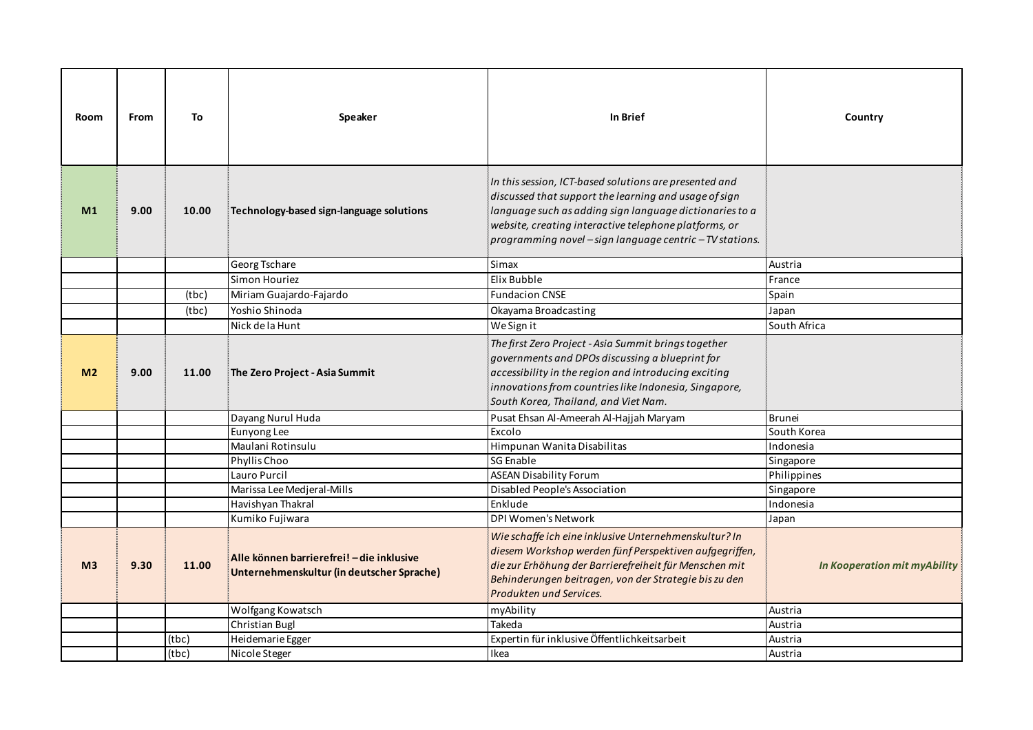| Room           | From | To    | Speaker                                                                                                   | In Brief                                                                                                                                                                                                                                                                                        | Country                               |
|----------------|------|-------|-----------------------------------------------------------------------------------------------------------|-------------------------------------------------------------------------------------------------------------------------------------------------------------------------------------------------------------------------------------------------------------------------------------------------|---------------------------------------|
| M <sub>1</sub> | 9.00 | 10.00 | Technology-based sign-language solutions                                                                  | In this session, ICT-based solutions are presented and<br>discussed that support the learning and usage of sign<br>language such as adding sign language dictionaries to a<br>website, creating interactive telephone platforms, or<br>programming novel - sign language centric - TV stations. |                                       |
|                |      |       | Georg Tschare                                                                                             | Simax                                                                                                                                                                                                                                                                                           | Austria                               |
|                |      |       | Simon Houriez                                                                                             | Elix Bubble                                                                                                                                                                                                                                                                                     | France                                |
|                |      | (tbc) | Miriam Guajardo-Fajardo                                                                                   | <b>Fundacion CNSE</b>                                                                                                                                                                                                                                                                           | Spain                                 |
|                |      | (tbc) | Yoshio Shinoda                                                                                            | Okayama Broadcasting                                                                                                                                                                                                                                                                            | Japan                                 |
|                |      |       | Nick de la Hunt                                                                                           | We Sign it                                                                                                                                                                                                                                                                                      | South Africa                          |
| M <sub>2</sub> | 9.00 | 11.00 | The Zero Project - Asia Summit                                                                            | The first Zero Project - Asia Summit brings together<br>governments and DPOs discussing a blueprint for<br>accessibility in the region and introducing exciting<br>innovations from countries like Indonesia, Singapore,<br>South Korea, Thailand, and Viet Nam.                                |                                       |
|                |      |       | Dayang Nurul Huda                                                                                         | Pusat Ehsan Al-Ameerah Al-Hajjah Maryam                                                                                                                                                                                                                                                         | <b>Brunei</b>                         |
|                |      |       | Eunyong Lee                                                                                               | Excolo                                                                                                                                                                                                                                                                                          | South Korea                           |
|                |      |       | Maulani Rotinsulu                                                                                         | Himpunan Wanita Disabilitas                                                                                                                                                                                                                                                                     | Indonesia                             |
|                |      |       | Phyllis Choo                                                                                              | <b>SG Enable</b>                                                                                                                                                                                                                                                                                | Singapore                             |
|                |      |       | Lauro Purcil                                                                                              | <b>ASEAN Disability Forum</b>                                                                                                                                                                                                                                                                   | Philippines                           |
|                |      |       | Marissa Lee Medjeral-Mills                                                                                | Disabled People's Association                                                                                                                                                                                                                                                                   | Singapore                             |
|                |      |       | Havishyan Thakral                                                                                         | Enklude                                                                                                                                                                                                                                                                                         | Indonesia                             |
| M <sub>3</sub> | 9.30 | 11.00 | Kumiko Fujiwara<br>Alle können barrierefrei! - die inklusive<br>Unternehmenskultur (in deutscher Sprache) | DPI Women's Network<br>Wie schaffe ich eine inklusive Unternehmenskultur? In<br>diesem Workshop werden fünf Perspektiven aufgegriffen,<br>die zur Erhöhung der Barrierefreiheit für Menschen mit<br>Behinderungen beitragen, von der Strategie bis zu den<br>Produkten und Services.            | Japan<br>In Kooperation mit myAbility |
|                |      |       | Wolfgang Kowatsch                                                                                         | myAbility                                                                                                                                                                                                                                                                                       | Austria                               |
|                |      |       | Christian Bugl                                                                                            | Takeda                                                                                                                                                                                                                                                                                          | Austria                               |
|                |      | (tbc) | Heidemarie Egger                                                                                          | Expertin für inklusive Öffentlichkeitsarbeit                                                                                                                                                                                                                                                    | Austria                               |
|                |      | (tbc) | Nicole Steger                                                                                             | Ikea                                                                                                                                                                                                                                                                                            | Austria                               |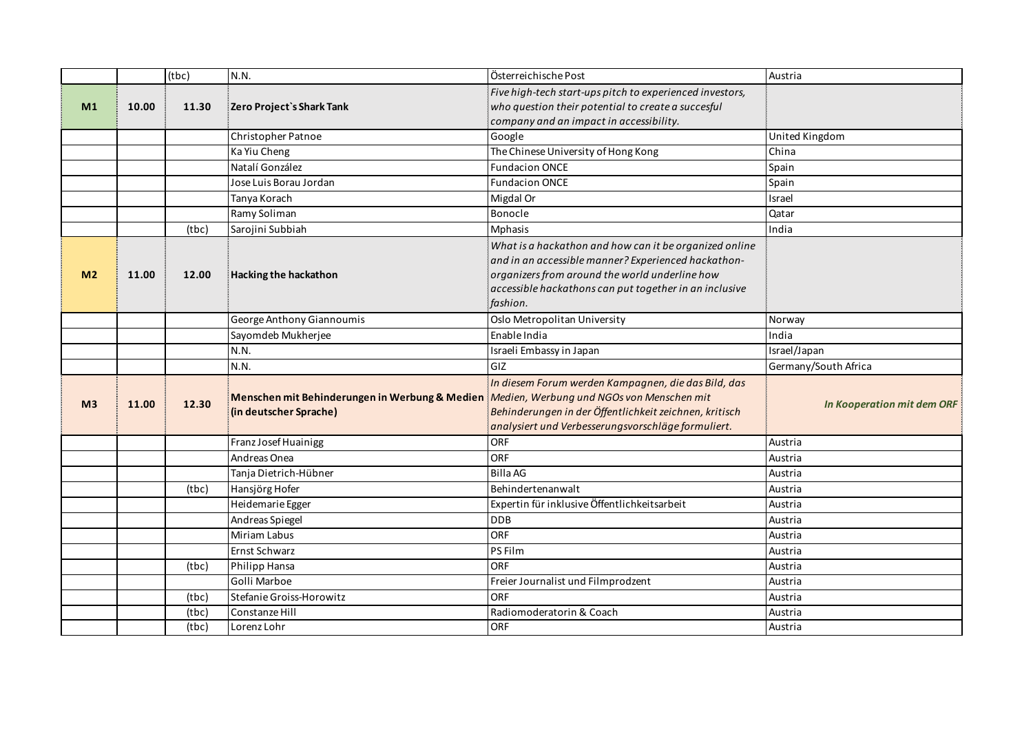|                |       | (tbc) | N.N.                                                                     | Österreichische Post                                                                                                                                                                                                                  | Austria                           |
|----------------|-------|-------|--------------------------------------------------------------------------|---------------------------------------------------------------------------------------------------------------------------------------------------------------------------------------------------------------------------------------|-----------------------------------|
| M <sub>1</sub> | 10.00 | 11.30 | Zero Project's Shark Tank                                                | Five high-tech start-ups pitch to experienced investors,<br>who question their potential to create a succesful<br>company and an impact in accessibility.                                                                             |                                   |
|                |       |       | Christopher Patnoe                                                       | Google                                                                                                                                                                                                                                | United Kingdom                    |
|                |       |       | Ka Yiu Cheng                                                             | The Chinese University of Hong Kong                                                                                                                                                                                                   | China                             |
|                |       |       | Natalí González                                                          | <b>Fundacion ONCE</b>                                                                                                                                                                                                                 | Spain                             |
|                |       |       | Jose Luis Borau Jordan                                                   | <b>Fundacion ONCE</b>                                                                                                                                                                                                                 | Spain                             |
|                |       |       | Tanya Korach                                                             | Migdal Or                                                                                                                                                                                                                             | Israel                            |
|                |       |       | Ramy Soliman                                                             | Bonocle                                                                                                                                                                                                                               | Qatar                             |
|                |       | (tbc) | Sarojini Subbiah                                                         | <b>Mphasis</b>                                                                                                                                                                                                                        | India                             |
| M <sub>2</sub> | 11.00 | 12.00 | <b>Hacking the hackathon</b>                                             | What is a hackathon and how can it be organized online<br>and in an accessible manner? Experienced hackathon-<br>organizers from around the world underline how<br>accessible hackathons can put together in an inclusive<br>fashion. |                                   |
|                |       |       | George Anthony Giannoumis                                                | Oslo Metropolitan University                                                                                                                                                                                                          | Norway                            |
|                |       |       | Sayomdeb Mukherjee                                                       | Enable India                                                                                                                                                                                                                          | India                             |
|                |       |       | N.N.                                                                     | Israeli Embassy in Japan                                                                                                                                                                                                              | Israel/Japan                      |
|                |       |       | N.N.                                                                     | GIZ                                                                                                                                                                                                                                   | Germany/South Africa              |
| M <sub>3</sub> | 11.00 | 12.30 | Menschen mit Behinderungen in Werbung & Medien<br>(in deutscher Sprache) | In diesem Forum werden Kampagnen, die das Bild, das<br>Medien, Werbung und NGOs von Menschen mit<br>Behinderungen in der Öffentlichkeit zeichnen, kritisch<br>analysiert und Verbesserungsvorschläge formuliert.                      | <b>In Kooperation mit dem ORF</b> |
|                |       |       | Franz Josef Huainigg                                                     | ORF                                                                                                                                                                                                                                   | Austria                           |
|                |       |       | Andreas Onea                                                             | <b>ORF</b>                                                                                                                                                                                                                            | Austria                           |
|                |       |       | Tanja Dietrich-Hübner                                                    | <b>Billa AG</b>                                                                                                                                                                                                                       | Austria                           |
|                |       | (tbc) | Hansjörg Hofer                                                           | Behindertenanwalt                                                                                                                                                                                                                     | Austria                           |
|                |       |       | Heidemarie Egger                                                         | Expertin für inklusive Öffentlichkeitsarbeit                                                                                                                                                                                          | Austria                           |
|                |       |       | Andreas Spiegel                                                          | <b>DDB</b>                                                                                                                                                                                                                            | Austria                           |
|                |       |       | Miriam Labus                                                             | ORF                                                                                                                                                                                                                                   | Austria                           |
|                |       |       | Ernst Schwarz                                                            | PS Film                                                                                                                                                                                                                               | Austria                           |
|                |       | (tbc) | Philipp Hansa                                                            | <b>ORF</b>                                                                                                                                                                                                                            | Austria                           |
|                |       |       | Golli Marboe                                                             | Freier Journalist und Filmprodzent                                                                                                                                                                                                    | Austria                           |
|                |       | (tbc) | Stefanie Groiss-Horowitz                                                 | <b>ORF</b>                                                                                                                                                                                                                            | Austria                           |
|                |       | (tbc) | Constanze Hill                                                           | Radiomoderatorin & Coach                                                                                                                                                                                                              | Austria                           |
|                |       | (tbc) | Lorenz Lohr                                                              | <b>ORF</b>                                                                                                                                                                                                                            | Austria                           |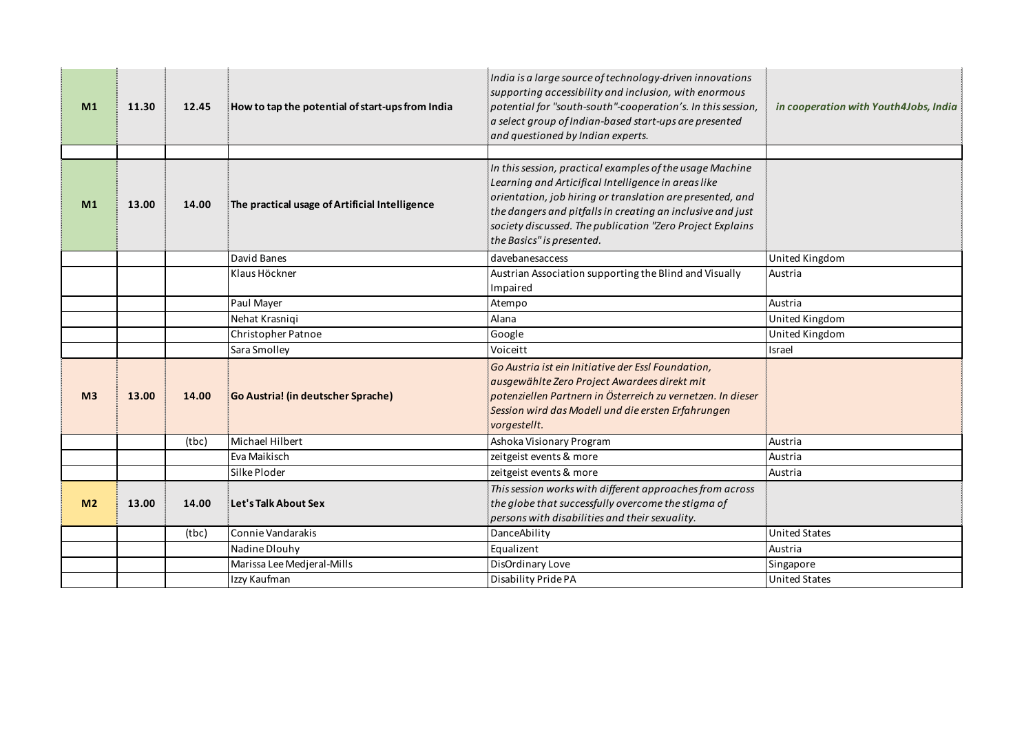| M <sub>1</sub> | 11.30 | 12.45 | How to tap the potential of start-ups from India | India is a large source of technology-driven innovations<br>supporting accessibility and inclusion, with enormous<br>potential for "south-south"-cooperation's. In this session,<br>a select group of Indian-based start-ups are presented<br>and questioned by Indian experts. | in cooperation with Youth4Jobs, India |
|----------------|-------|-------|--------------------------------------------------|---------------------------------------------------------------------------------------------------------------------------------------------------------------------------------------------------------------------------------------------------------------------------------|---------------------------------------|
|                |       |       |                                                  | In this session, practical examples of the usage Machine                                                                                                                                                                                                                        |                                       |
| M <sub>1</sub> | 13.00 | 14.00 | The practical usage of Artificial Intelligence   | Learning and Articifical Intelligence in areas like<br>orientation, job hiring or translation are presented, and<br>the dangers and pitfalls in creating an inclusive and just<br>society discussed. The publication "Zero Project Explains<br>the Basics" is presented.        |                                       |
|                |       |       | David Banes                                      | davebanesaccess                                                                                                                                                                                                                                                                 | United Kingdom                        |
|                |       |       | Klaus Höckner                                    | Austrian Association supporting the Blind and Visually<br>Impaired                                                                                                                                                                                                              | Austria                               |
|                |       |       | Paul Mayer                                       | Atempo                                                                                                                                                                                                                                                                          | Austria                               |
|                |       |       | Nehat Krasniqi                                   | Alana                                                                                                                                                                                                                                                                           | United Kingdom                        |
|                |       |       | Christopher Patnoe                               | Google                                                                                                                                                                                                                                                                          | United Kingdom                        |
|                |       |       | Sara Smolley                                     | Voiceitt                                                                                                                                                                                                                                                                        | Israel                                |
| M <sub>3</sub> | 13.00 | 14.00 | <b>Go Austria!</b> (in deutscher Sprache)        | Go Austria ist ein Initiative der Essl Foundation,<br>ausgewählte Zero Project Awardees direkt mit<br>potenziellen Partnern in Österreich zu vernetzen. In dieser<br>Session wird das Modell und die ersten Erfahrungen<br>vorgestellt.                                         |                                       |
|                |       | (tbc) | Michael Hilbert                                  | Ashoka Visionary Program                                                                                                                                                                                                                                                        | Austria                               |
|                |       |       | Eva Maikisch                                     | zeitgeist events & more                                                                                                                                                                                                                                                         | Austria                               |
|                |       |       | Silke Ploder                                     | zeitgeist events & more                                                                                                                                                                                                                                                         | Austria                               |
| M <sub>2</sub> | 13.00 | 14.00 | Let's Talk About Sex                             | This session works with different approaches from across<br>the globe that successfully overcome the stigma of<br>persons with disabilities and their sexuality.                                                                                                                |                                       |
|                |       | (tbc) | Connie Vandarakis                                | DanceAbility                                                                                                                                                                                                                                                                    | <b>United States</b>                  |
|                |       |       | Nadine Dlouhy                                    | Equalizent                                                                                                                                                                                                                                                                      | Austria                               |
|                |       |       | Marissa Lee Medjeral-Mills                       | DisOrdinary Love                                                                                                                                                                                                                                                                | Singapore                             |
|                |       |       | Izzy Kaufman                                     | Disability Pride PA                                                                                                                                                                                                                                                             | <b>United States</b>                  |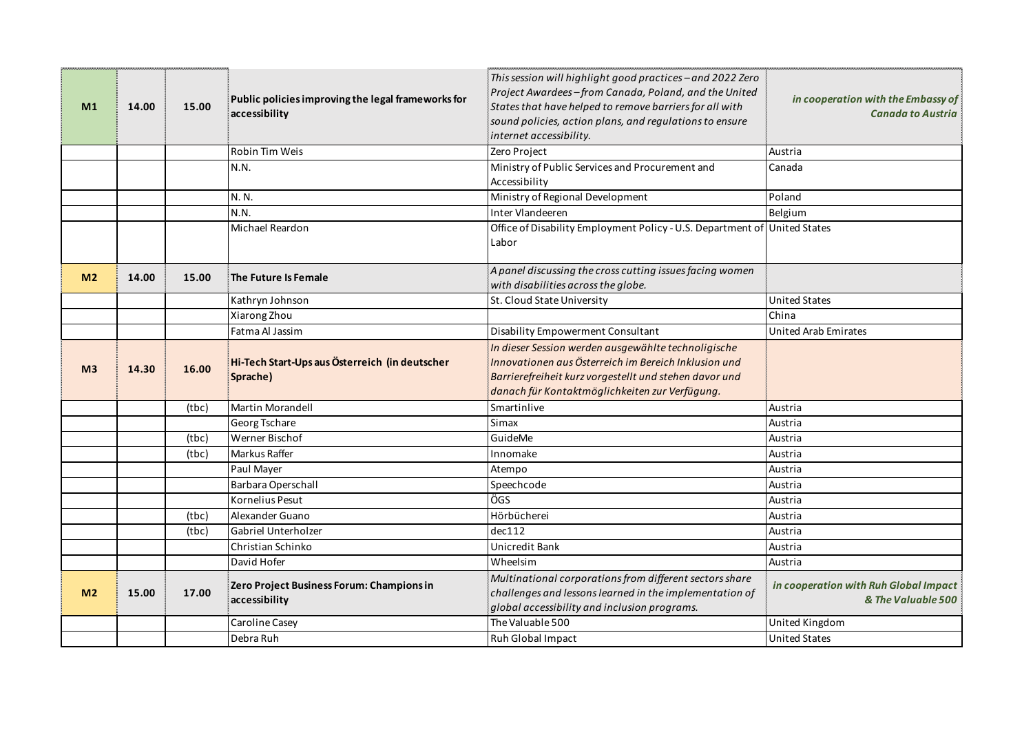| M1             | 14.00 | 15.00 | Public policies improving the legal frameworks for<br>accessibility | This session will highlight good practices - and 2022 Zero<br>Project Awardees-from Canada, Poland, and the United<br>States that have helped to remove barriers for all with<br>sound policies, action plans, and regulations to ensure<br>internet accessibility. | in cooperation with the Embassy of<br><b>Canada to Austria</b> |
|----------------|-------|-------|---------------------------------------------------------------------|---------------------------------------------------------------------------------------------------------------------------------------------------------------------------------------------------------------------------------------------------------------------|----------------------------------------------------------------|
|                |       |       | Robin Tim Weis                                                      | Zero Project                                                                                                                                                                                                                                                        | Austria                                                        |
|                |       |       | N.N.                                                                | Ministry of Public Services and Procurement and<br>Accessibility                                                                                                                                                                                                    | Canada                                                         |
|                |       |       | N. N.                                                               | Ministry of Regional Development                                                                                                                                                                                                                                    | Poland                                                         |
|                |       |       | N.N.                                                                | Inter Vlandeeren                                                                                                                                                                                                                                                    | Belgium                                                        |
|                |       |       | Michael Reardon                                                     | Office of Disability Employment Policy - U.S. Department of United States<br>Labor                                                                                                                                                                                  |                                                                |
| M <sub>2</sub> | 14.00 | 15.00 | The Future Is Female                                                | A panel discussing the cross cutting issues facing women<br>with disabilities across the globe.                                                                                                                                                                     |                                                                |
|                |       |       | Kathryn Johnson                                                     | St. Cloud State University                                                                                                                                                                                                                                          | <b>United States</b>                                           |
|                |       |       | Xiarong Zhou                                                        |                                                                                                                                                                                                                                                                     | China                                                          |
|                |       |       | Fatma Al Jassim                                                     | Disability Empowerment Consultant                                                                                                                                                                                                                                   | United Arab Emirates                                           |
| M <sub>3</sub> | 14.30 | 16.00 | Hi-Tech Start-Ups aus Österreich (in deutscher<br>Sprache)          | In dieser Session werden ausgewählte technoligische<br>Innovationen aus Österreich im Bereich Inklusion und<br>Barrierefreiheit kurz vorgestellt und stehen davor und<br>danach für Kontaktmöglichkeiten zur Verfügung.                                             |                                                                |
|                |       | (tbc) | Martin Morandell                                                    | Smartinlive                                                                                                                                                                                                                                                         | Austria                                                        |
|                |       |       | Georg Tschare                                                       | Simax                                                                                                                                                                                                                                                               | Austria                                                        |
|                |       | (tbc) | Werner Bischof                                                      | GuideMe                                                                                                                                                                                                                                                             | Austria                                                        |
|                |       | (tbc) | <b>Markus Raffer</b>                                                | Innomake                                                                                                                                                                                                                                                            | Austria                                                        |
|                |       |       | Paul Mayer                                                          | Atempo                                                                                                                                                                                                                                                              | Austria                                                        |
|                |       |       | Barbara Operschall                                                  | Speechcode                                                                                                                                                                                                                                                          | Austria                                                        |
|                |       |       | Kornelius Pesut                                                     | ÖGS                                                                                                                                                                                                                                                                 | Austria                                                        |
|                |       | (tbc) | Alexander Guano                                                     | Hörbücherei                                                                                                                                                                                                                                                         | Austria                                                        |
|                |       | (tbc) | Gabriel Unterholzer                                                 | dec112                                                                                                                                                                                                                                                              | Austria                                                        |
|                |       |       | Christian Schinko                                                   | Unicredit Bank                                                                                                                                                                                                                                                      | Austria                                                        |
|                |       |       | David Hofer                                                         | Wheelsim                                                                                                                                                                                                                                                            | Austria                                                        |
| M <sub>2</sub> | 15.00 | 17.00 | Zero Project Business Forum: Champions in<br>accessibility          | Multinational corporations from different sectors share<br>challenges and lessons learned in the implementation of<br>global accessibility and inclusion programs.                                                                                                  | in cooperation with Ruh Global Impact<br>& The Valuable 500    |
|                |       |       | Caroline Casey                                                      | The Valuable 500                                                                                                                                                                                                                                                    | United Kingdom                                                 |
|                |       |       | Debra Ruh                                                           | Ruh Global Impact                                                                                                                                                                                                                                                   | <b>United States</b>                                           |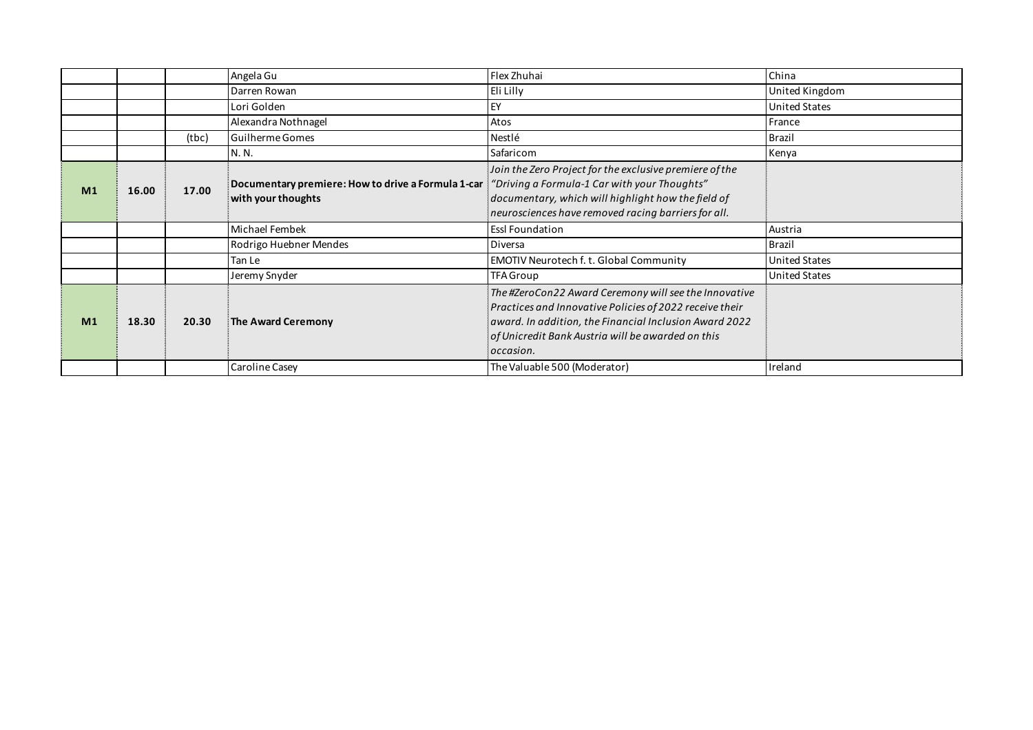|                |       |       | Angela Gu                                                                                                               | Flex Zhuhai                                                                                                                                                                                                                                  | China                |
|----------------|-------|-------|-------------------------------------------------------------------------------------------------------------------------|----------------------------------------------------------------------------------------------------------------------------------------------------------------------------------------------------------------------------------------------|----------------------|
|                |       |       | Darren Rowan                                                                                                            | Eli Lilly                                                                                                                                                                                                                                    | United Kingdom       |
|                |       |       | Lori Golden                                                                                                             | EY                                                                                                                                                                                                                                           | <b>United States</b> |
|                |       |       | Alexandra Nothnagel                                                                                                     | Atos                                                                                                                                                                                                                                         | France               |
|                |       | (tbc) | Guilherme Gomes                                                                                                         | Nestlé                                                                                                                                                                                                                                       | <b>Brazil</b>        |
|                |       |       | N. N.                                                                                                                   | Safaricom                                                                                                                                                                                                                                    | Kenya                |
| M <sub>1</sub> | 16.00 | 17.00 | Documentary premiere: How to drive a Formula 1-car : "Driving a Formula-1 Car with your Thoughts"<br>with your thoughts | Join the Zero Project for the exclusive premiere of the<br>documentary, which will highlight how the field of<br>neurosciences have removed racing barriers for all.                                                                         |                      |
|                |       |       | Michael Fembek                                                                                                          | <b>Essl Foundation</b>                                                                                                                                                                                                                       | Austria              |
|                |       |       | Rodrigo Huebner Mendes                                                                                                  | Diversa                                                                                                                                                                                                                                      | <b>Brazil</b>        |
|                |       |       | Tan Le                                                                                                                  | EMOTIV Neurotech f. t. Global Community                                                                                                                                                                                                      | <b>United States</b> |
|                |       |       | Jeremy Snyder                                                                                                           | TFA Group                                                                                                                                                                                                                                    | <b>United States</b> |
| M <sub>1</sub> | 18.30 | 20.30 | The Award Ceremony                                                                                                      | The #ZeroCon22 Award Ceremony will see the Innovative<br>Practices and Innovative Policies of 2022 receive their<br>award. In addition, the Financial Inclusion Award 2022<br>of Unicredit Bank Austria will be awarded on this<br>occasion. |                      |
|                |       |       | Caroline Casey                                                                                                          | The Valuable 500 (Moderator)                                                                                                                                                                                                                 | Ireland              |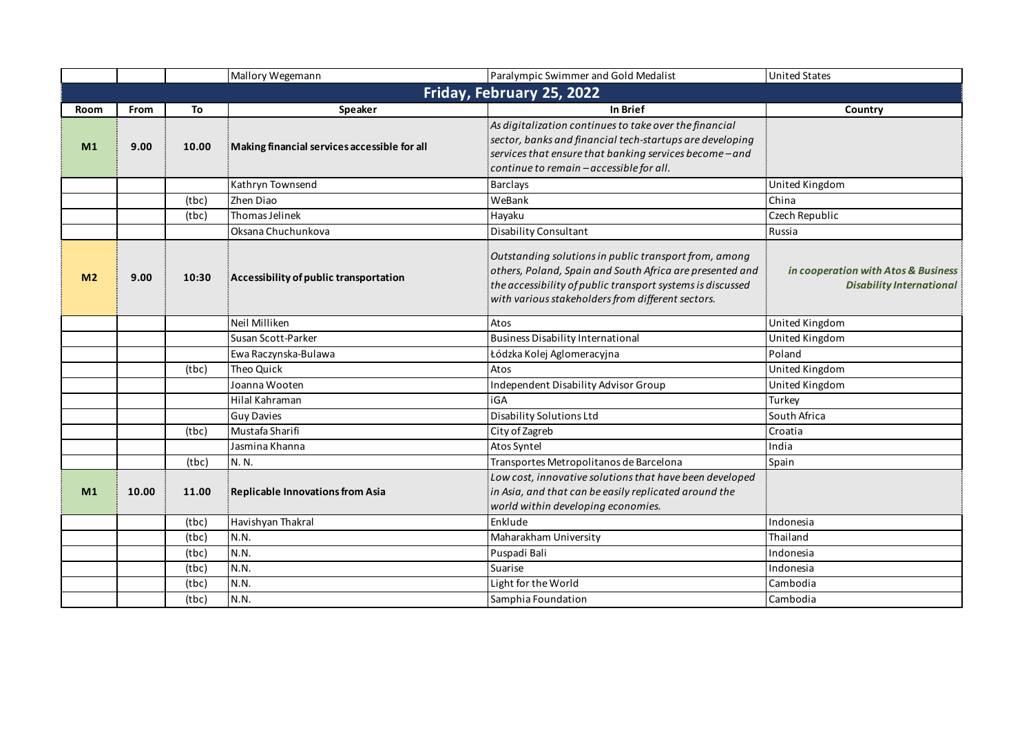|                |       |       | Mallory Wegemann                             | Paralympic Swimmer and Gold Medalist                                                                                                                                                                                                 | <b>United States</b>                                                   |
|----------------|-------|-------|----------------------------------------------|--------------------------------------------------------------------------------------------------------------------------------------------------------------------------------------------------------------------------------------|------------------------------------------------------------------------|
|                |       |       |                                              | Friday, February 25, 2022                                                                                                                                                                                                            |                                                                        |
| <b>Room</b>    | From  | To    | Speaker                                      | In Brief                                                                                                                                                                                                                             | Country                                                                |
| M <sub>1</sub> | 9.00  | 10.00 | Making financial services accessible for all | As digitalization continues to take over the financial<br>sector, banks and financial tech-startups are developing<br>services that ensure that banking services become - and<br>continue to remain - accessible for all.            |                                                                        |
|                |       |       | Kathryn Townsend                             | <b>Barclays</b>                                                                                                                                                                                                                      | United Kingdom                                                         |
|                |       | (tbc) | Zhen Diao                                    | WeBank                                                                                                                                                                                                                               | China                                                                  |
|                |       | (tbc) | Thomas Jelinek                               | Hayaku                                                                                                                                                                                                                               | Czech Republic                                                         |
|                |       |       | Oksana Chuchunkova                           | Disability Consultant                                                                                                                                                                                                                | Russia                                                                 |
| M <sub>2</sub> | 9.00  | 10:30 | Accessibility of public transportation       | Outstanding solutions in public transport from, among<br>others, Poland, Spain and South Africa are presented and<br>the accessibility of public transport systems is discussed<br>with various stakeholders from different sectors. | in cooperation with Atos & Business<br><b>Disability International</b> |
|                |       |       | Neil Milliken                                | Atos                                                                                                                                                                                                                                 | United Kingdom                                                         |
|                |       |       | Susan Scott-Parker                           | <b>Business Disability International</b>                                                                                                                                                                                             | United Kingdom                                                         |
|                |       |       | Ewa Raczynska-Bulawa                         | Łódzka Kolej Aglomeracyjna                                                                                                                                                                                                           | Poland                                                                 |
|                |       | (tbc) | Theo Quick                                   | Atos                                                                                                                                                                                                                                 | United Kingdom                                                         |
|                |       |       | Joanna Wooten                                | Independent Disability Advisor Group                                                                                                                                                                                                 | United Kingdom                                                         |
|                |       |       | Hilal Kahraman                               | iGA                                                                                                                                                                                                                                  | Turkey                                                                 |
|                |       |       | <b>Guy Davies</b>                            | <b>Disability Solutions Ltd</b>                                                                                                                                                                                                      | South Africa                                                           |
|                |       | (tbc) | Mustafa Sharifi                              | City of Zagreb                                                                                                                                                                                                                       | Croatia                                                                |
|                |       |       | Jasmina Khanna                               | Atos Syntel                                                                                                                                                                                                                          | India                                                                  |
|                |       | (tbc) | N. N.                                        | Transportes Metropolitanos de Barcelona                                                                                                                                                                                              | Spain                                                                  |
| M <sub>1</sub> | 10.00 | 11.00 | <b>Replicable Innovations from Asia</b>      | Low cost, innovative solutions that have been developed<br>in Asia, and that can be easily replicated around the<br>world within developing economies.                                                                               |                                                                        |
|                |       | (tbc) | Havishyan Thakral                            | Enklude                                                                                                                                                                                                                              | Indonesia                                                              |
|                |       | (tbc) | N.N.                                         | Maharakham University                                                                                                                                                                                                                | Thailand                                                               |
|                |       | (tbc) | N.N.                                         | Puspadi Bali                                                                                                                                                                                                                         | Indonesia                                                              |
|                |       | (tbc) | N.N.                                         | Suarise                                                                                                                                                                                                                              | Indonesia                                                              |
|                |       | (tbc) | N.N.                                         | Light for the World                                                                                                                                                                                                                  | Cambodia                                                               |
|                |       | (tbc) | N.N.                                         | Samphia Foundation                                                                                                                                                                                                                   | Cambodia                                                               |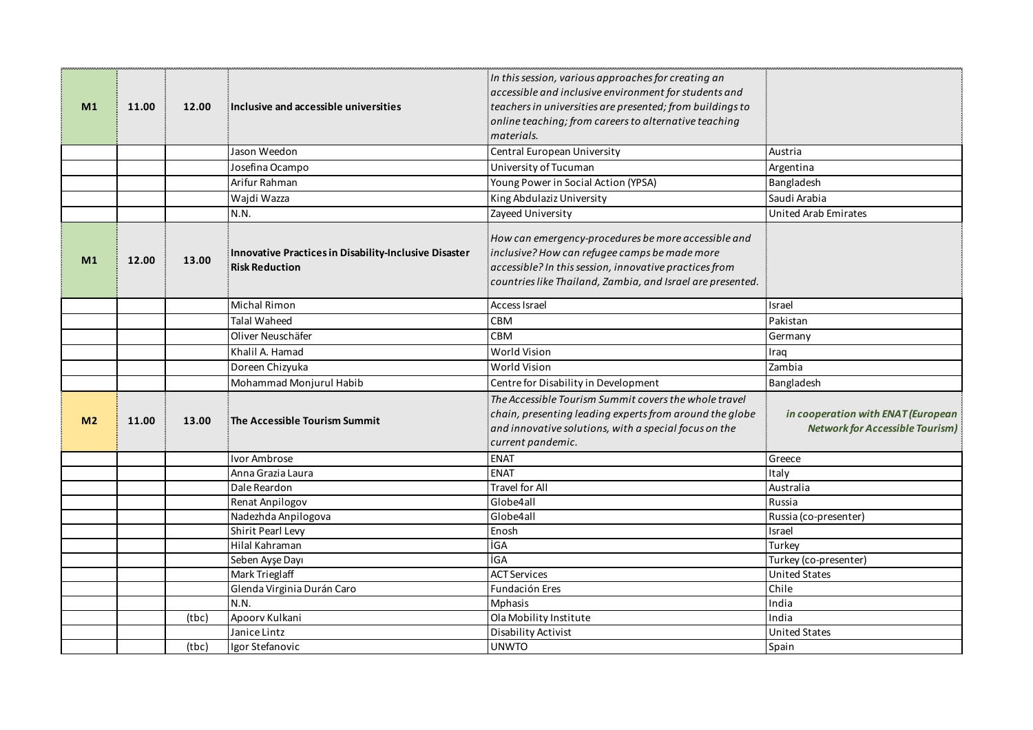| M1             | 11.00 | 12.00 | Inclusive and accessible universities                                          | In this session, various approaches for creating an<br>accessible and inclusive environment for students and<br>teachers in universities are presented; from buildings to<br>online teaching; from careers to alternative teaching<br>materials. |                                                                              |
|----------------|-------|-------|--------------------------------------------------------------------------------|--------------------------------------------------------------------------------------------------------------------------------------------------------------------------------------------------------------------------------------------------|------------------------------------------------------------------------------|
|                |       |       | Jason Weedon                                                                   | Central European University                                                                                                                                                                                                                      | Austria                                                                      |
|                |       |       | Josefina Ocampo                                                                | University of Tucuman                                                                                                                                                                                                                            | Argentina                                                                    |
|                |       |       | Arifur Rahman                                                                  | Young Power in Social Action (YPSA)                                                                                                                                                                                                              | Bangladesh                                                                   |
|                |       |       | Wajdi Wazza                                                                    | King Abdulaziz University                                                                                                                                                                                                                        | Saudi Arabia                                                                 |
|                |       |       | N.N.                                                                           | Zayeed University                                                                                                                                                                                                                                | <b>United Arab Emirates</b>                                                  |
| M1             | 12.00 | 13.00 | Innovative Practices in Disability-Inclusive Disaster<br><b>Risk Reduction</b> | How can emergency-procedures be more accessible and<br>inclusive? How can refugee camps be made more<br>accessible? In this session, innovative practices from<br>countries like Thailand, Zambia, and Israel are presented.                     |                                                                              |
|                |       |       | Michal Rimon                                                                   | Access Israel                                                                                                                                                                                                                                    | Israel                                                                       |
|                |       |       | <b>Talal Waheed</b>                                                            | <b>CBM</b>                                                                                                                                                                                                                                       | Pakistan                                                                     |
|                |       |       | Oliver Neuschäfer                                                              | CBM                                                                                                                                                                                                                                              | Germany                                                                      |
|                |       |       | Khalil A. Hamad                                                                | World Vision                                                                                                                                                                                                                                     | Iraq                                                                         |
|                |       |       | Doreen Chizyuka                                                                | <b>World Vision</b>                                                                                                                                                                                                                              | Zambia                                                                       |
|                |       |       | Mohammad Monjurul Habib                                                        | Centre for Disability in Development                                                                                                                                                                                                             | Bangladesh                                                                   |
| M <sub>2</sub> | 11.00 | 13.00 | The Accessible Tourism Summit                                                  | The Accessible Tourism Summit covers the whole travel<br>chain, presenting leading experts from around the globe<br>and innovative solutions, with a special focus on the<br>current pandemic.                                                   | in cooperation with ENAT (European<br><b>Network for Accessible Tourism)</b> |
|                |       |       | Ivor Ambrose                                                                   | <b>ENAT</b>                                                                                                                                                                                                                                      | Greece                                                                       |
|                |       |       | Anna Grazia Laura                                                              | <b>ENAT</b>                                                                                                                                                                                                                                      | Italy                                                                        |
|                |       |       | Dale Reardon                                                                   | <b>Travel for All</b>                                                                                                                                                                                                                            | Australia                                                                    |
|                |       |       | Renat Anpilogov                                                                | Globe4all                                                                                                                                                                                                                                        | Russia                                                                       |
|                |       |       | Nadezhda Anpilogova                                                            | Globe4all                                                                                                                                                                                                                                        | Russia (co-presenter)                                                        |
|                |       |       | Shirit Pearl Levy                                                              | Enosh                                                                                                                                                                                                                                            | Israel                                                                       |
|                |       |       | Hilal Kahraman                                                                 | İGA<br><b>İGA</b>                                                                                                                                                                                                                                | Turkey                                                                       |
|                |       |       | Seben Ayşe Dayı<br>Mark Trieglaff                                              | <b>ACT Services</b>                                                                                                                                                                                                                              | Turkey (co-presenter)<br><b>United States</b>                                |
|                |       |       | Glenda Virginia Durán Caro                                                     | Fundación Eres                                                                                                                                                                                                                                   | Chile                                                                        |
|                |       |       | N.N.                                                                           | Mphasis                                                                                                                                                                                                                                          | India                                                                        |
|                |       | (tbc) | Apoorv Kulkani                                                                 | Ola Mobility Institute                                                                                                                                                                                                                           | India                                                                        |
|                |       |       |                                                                                |                                                                                                                                                                                                                                                  |                                                                              |
|                |       |       | Janice Lintz                                                                   | Disability Activist                                                                                                                                                                                                                              | United States                                                                |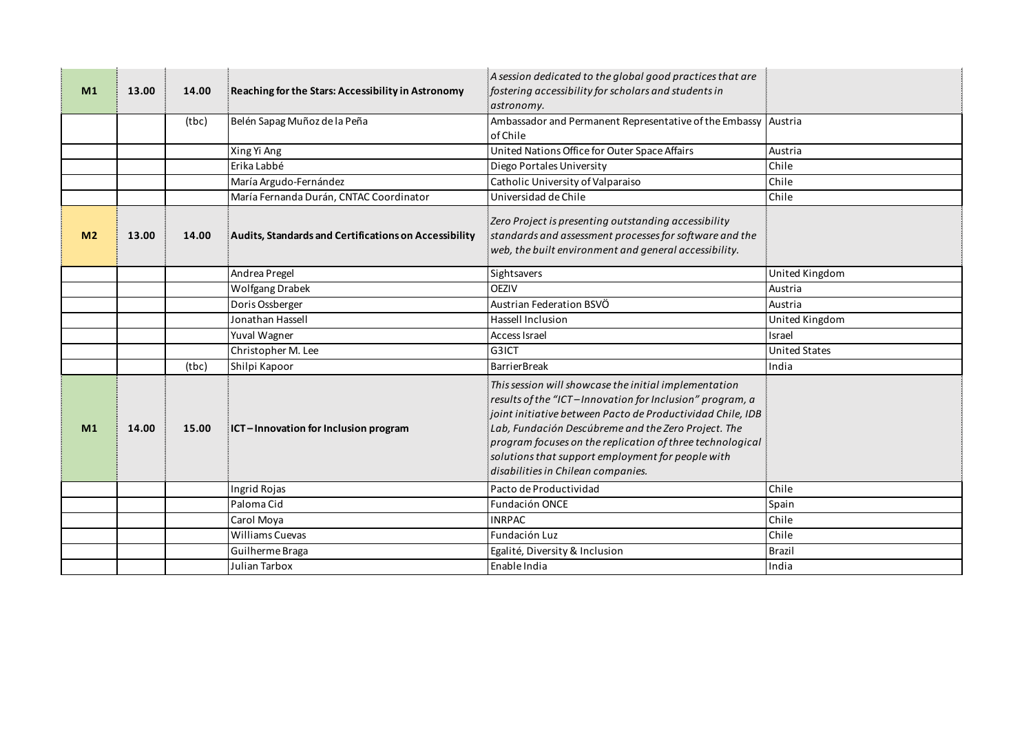| M <sub>1</sub> | 13.00 | 14.00 | Reaching for the Stars: Accessibility in Astronomy    | A session dedicated to the global good practices that are<br>fostering accessibility for scholars and students in<br>astronomy.                                                                                                                                                                                                                                                                |                      |
|----------------|-------|-------|-------------------------------------------------------|------------------------------------------------------------------------------------------------------------------------------------------------------------------------------------------------------------------------------------------------------------------------------------------------------------------------------------------------------------------------------------------------|----------------------|
|                |       | (tbc) | Belén Sapag Muñoz de la Peña                          | Ambassador and Permanent Representative of the Embassy Austria<br>of Chile                                                                                                                                                                                                                                                                                                                     |                      |
|                |       |       | Xing Yi Ang                                           | United Nations Office for Outer Space Affairs                                                                                                                                                                                                                                                                                                                                                  | Austria              |
|                |       |       | Erika Labbé                                           | Diego Portales University                                                                                                                                                                                                                                                                                                                                                                      | Chile                |
|                |       |       | María Argudo-Fernández                                | Catholic University of Valparaiso                                                                                                                                                                                                                                                                                                                                                              | Chile                |
|                |       |       | María Fernanda Durán, CNTAC Coordinator               | Universidad de Chile                                                                                                                                                                                                                                                                                                                                                                           | Chile                |
| M <sub>2</sub> | 13.00 | 14.00 | Audits, Standards and Certifications on Accessibility | Zero Project is presenting outstanding accessibility<br>standards and assessment processes for software and the<br>web, the built environment and general accessibility.                                                                                                                                                                                                                       |                      |
|                |       |       | Andrea Pregel                                         | Sightsavers                                                                                                                                                                                                                                                                                                                                                                                    | United Kingdom       |
|                |       |       | Wolfgang Drabek                                       | <b>OEZIV</b>                                                                                                                                                                                                                                                                                                                                                                                   | Austria              |
|                |       |       | Doris Ossberger                                       | Austrian Federation BSVÖ                                                                                                                                                                                                                                                                                                                                                                       | Austria              |
|                |       |       | Jonathan Hassell                                      | Hassell Inclusion                                                                                                                                                                                                                                                                                                                                                                              | United Kingdom       |
|                |       |       | Yuval Wagner                                          | Access Israel                                                                                                                                                                                                                                                                                                                                                                                  | Israel               |
|                |       |       | Christopher M. Lee                                    | G3ICT                                                                                                                                                                                                                                                                                                                                                                                          | <b>United States</b> |
|                |       | (tbc) | Shilpi Kapoor                                         | <b>BarrierBreak</b>                                                                                                                                                                                                                                                                                                                                                                            | India                |
| M <sub>1</sub> | 14.00 | 15.00 | ICT-Innovation for Inclusion program                  | This session will showcase the initial implementation<br>results of the "ICT-Innovation for Inclusion" program, a<br>joint initiative between Pacto de Productividad Chile, IDB<br>Lab, Fundación Descúbreme and the Zero Project. The<br>program focuses on the replication of three technological<br>solutions that support employment for people with<br>disabilities in Chilean companies. |                      |
|                |       |       | Ingrid Rojas                                          | Pacto de Productividad                                                                                                                                                                                                                                                                                                                                                                         | Chile                |
|                |       |       | Paloma Cid                                            | <b>Fundación ONCE</b>                                                                                                                                                                                                                                                                                                                                                                          | Spain                |
|                |       |       | Carol Moya                                            | <b>INRPAC</b>                                                                                                                                                                                                                                                                                                                                                                                  | Chile                |
|                |       |       | <b>Williams Cuevas</b>                                | Fundación Luz                                                                                                                                                                                                                                                                                                                                                                                  | Chile                |
|                |       |       | Guilherme Braga                                       | Egalité, Diversity & Inclusion                                                                                                                                                                                                                                                                                                                                                                 | <b>Brazil</b>        |
|                |       |       | Julian Tarbox                                         | Enable India                                                                                                                                                                                                                                                                                                                                                                                   | India                |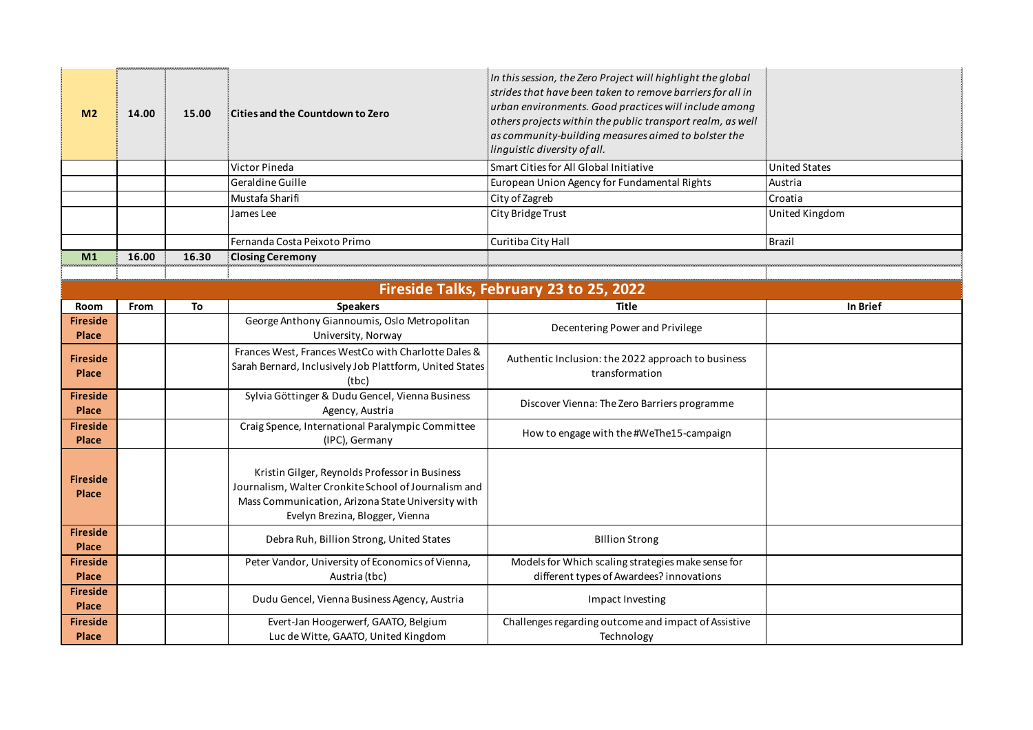| M <sub>2</sub>                          | 14.00 | 15.00 | Cities and the Countdown to Zero                                                                                                                                                               | In this session, the Zero Project will highlight the global<br>strides that have been taken to remove barriers for all in<br>urban environments. Good practices will include among<br>others projects within the public transport realm, as well<br>as community-building measures aimed to bolster the<br>linguistic diversity of all. |                      |  |
|-----------------------------------------|-------|-------|------------------------------------------------------------------------------------------------------------------------------------------------------------------------------------------------|-----------------------------------------------------------------------------------------------------------------------------------------------------------------------------------------------------------------------------------------------------------------------------------------------------------------------------------------|----------------------|--|
|                                         |       |       | Victor Pineda                                                                                                                                                                                  | Smart Cities for All Global Initiative                                                                                                                                                                                                                                                                                                  | <b>United States</b> |  |
|                                         |       |       | Geraldine Guille                                                                                                                                                                               | European Union Agency for Fundamental Rights                                                                                                                                                                                                                                                                                            | Austria              |  |
|                                         |       |       | Mustafa Sharifi                                                                                                                                                                                | City of Zagreb                                                                                                                                                                                                                                                                                                                          | Croatia              |  |
|                                         |       |       | James Lee                                                                                                                                                                                      | City Bridge Trust                                                                                                                                                                                                                                                                                                                       | United Kingdom       |  |
|                                         |       |       | Fernanda Costa Peixoto Primo                                                                                                                                                                   | Curitiba City Hall                                                                                                                                                                                                                                                                                                                      | <b>Brazil</b>        |  |
| M <sub>1</sub>                          | 16.00 | 16.30 | <b>Closing Ceremony</b>                                                                                                                                                                        |                                                                                                                                                                                                                                                                                                                                         |                      |  |
|                                         |       |       |                                                                                                                                                                                                |                                                                                                                                                                                                                                                                                                                                         |                      |  |
| Fireside Talks, February 23 to 25, 2022 |       |       |                                                                                                                                                                                                |                                                                                                                                                                                                                                                                                                                                         |                      |  |
| Room                                    | From  | To    | <b>Speakers</b>                                                                                                                                                                                | <b>Title</b>                                                                                                                                                                                                                                                                                                                            | In Brief             |  |
| <b>Fireside</b><br>Place                |       |       | George Anthony Giannoumis, Oslo Metropolitan<br>University, Norway                                                                                                                             | Decentering Power and Privilege                                                                                                                                                                                                                                                                                                         |                      |  |
| <b>Fireside</b><br>Place                |       |       | Frances West, Frances WestCo with Charlotte Dales &<br>Sarah Bernard, Inclusively Job Plattform, United States<br>(tbc)                                                                        | Authentic Inclusion: the 2022 approach to business<br>transformation                                                                                                                                                                                                                                                                    |                      |  |
| <b>Fireside</b><br>Place                |       |       | Sylvia Göttinger & Dudu Gencel, Vienna Business<br>Agency, Austria                                                                                                                             | Discover Vienna: The Zero Barriers programme                                                                                                                                                                                                                                                                                            |                      |  |
| <b>Fireside</b><br>Place                |       |       | Craig Spence, International Paralympic Committee<br>(IPC), Germany                                                                                                                             | How to engage with the #WeThe15-campaign                                                                                                                                                                                                                                                                                                |                      |  |
| <b>Fireside</b><br>Place                |       |       | Kristin Gilger, Reynolds Professor in Business<br>Journalism, Walter Cronkite School of Journalism and<br>Mass Communication, Arizona State University with<br>Evelyn Brezina, Blogger, Vienna |                                                                                                                                                                                                                                                                                                                                         |                      |  |
| <b>Fireside</b><br>Place                |       |       | Debra Ruh, Billion Strong, United States                                                                                                                                                       | <b>Billion Strong</b>                                                                                                                                                                                                                                                                                                                   |                      |  |
| <b>Fireside</b><br>Place                |       |       | Peter Vandor, University of Economics of Vienna,<br>Austria (tbc)                                                                                                                              | Models for Which scaling strategies make sense for<br>different types of Awardees? innovations                                                                                                                                                                                                                                          |                      |  |
| <b>Fireside</b><br>Place                |       |       | Dudu Gencel, Vienna Business Agency, Austria                                                                                                                                                   | Impact Investing                                                                                                                                                                                                                                                                                                                        |                      |  |
| <b>Fireside</b><br>Place                |       |       | Evert-Jan Hoogerwerf, GAATO, Belgium<br>Luc de Witte, GAATO, United Kingdom                                                                                                                    | Challenges regarding outcome and impact of Assistive<br>Technology                                                                                                                                                                                                                                                                      |                      |  |